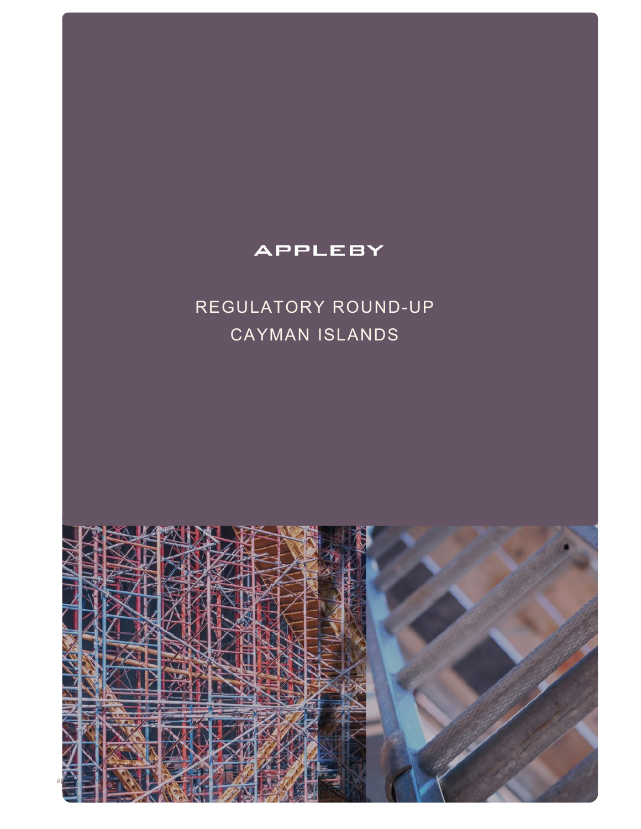# **APPLEBY**

# REGULATORY ROUND-UP CAYMAN ISLANDS

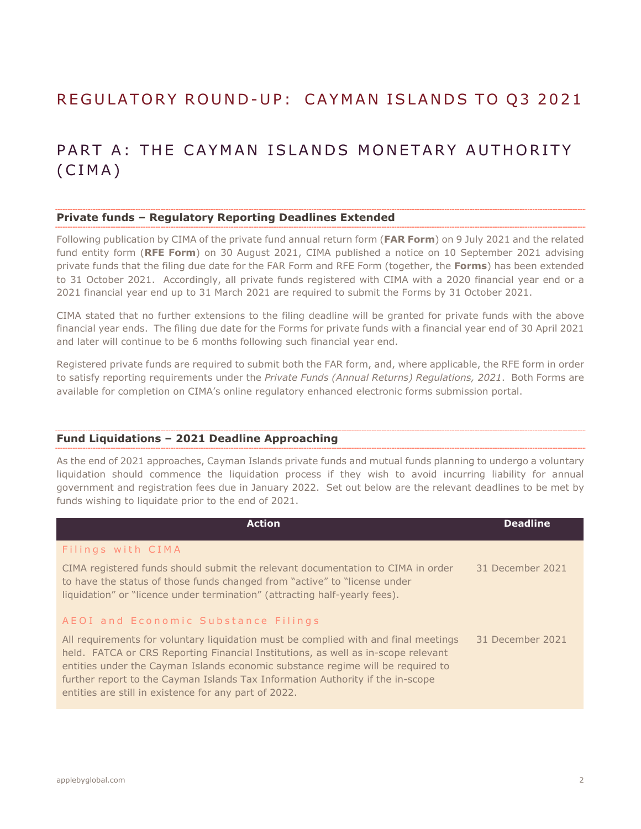# REGULATORY ROUND-UP: CAYMAN ISLANDS TO Q3 2021

# PART A: THE CAYMAN ISLANDS MONETARY AUTHORITY (CIMA)

#### **Private funds – Regulatory Reporting Deadlines Extended**

Following publication by CIMA of the private fund annual return form (**FAR Form**) on 9 July 2021 and the related fund entity form (**RFE Form**) on 30 August 2021, CIMA published a notice on 10 September 2021 advising private funds that the filing due date for the FAR Form and RFE Form (together, the **Forms**) has been extended to 31 October 2021. Accordingly, all private funds registered with CIMA with a 2020 financial year end or a 2021 financial year end up to 31 March 2021 are required to submit the Forms by 31 October 2021.

CIMA stated that no further extensions to the filing deadline will be granted for private funds with the above financial year ends. The filing due date for the Forms for private funds with a financial year end of 30 April 2021 and later will continue to be 6 months following such financial year end.

Registered private funds are required to submit both the FAR form, and, where applicable, the RFE form in order to satisfy reporting requirements under the *Private Funds (Annual Returns) Regulations, 2021*. Both Forms are available for completion on CIMA's online regulatory enhanced electronic forms submission portal.

#### **Fund Liquidations – 2021 Deadline Approaching**

As the end of 2021 approaches, Cayman Islands private funds and mutual funds planning to undergo a voluntary liquidation should commence the liquidation process if they wish to avoid incurring liability for annual government and registration fees due in January 2022. Set out below are the relevant deadlines to be met by funds wishing to liquidate prior to the end of 2021.

| <b>Action</b>                                                                                                                                                                                                                                                                                                                                                                                          | <b>Deadline</b>  |
|--------------------------------------------------------------------------------------------------------------------------------------------------------------------------------------------------------------------------------------------------------------------------------------------------------------------------------------------------------------------------------------------------------|------------------|
| Filings with CIMA                                                                                                                                                                                                                                                                                                                                                                                      |                  |
| CIMA registered funds should submit the relevant documentation to CIMA in order<br>to have the status of those funds changed from "active" to "license under<br>liquidation" or "licence under termination" (attracting half-yearly fees).                                                                                                                                                             | 31 December 2021 |
| AEOI and Economic Substance Filings                                                                                                                                                                                                                                                                                                                                                                    |                  |
| All requirements for voluntary liquidation must be complied with and final meetings<br>held. FATCA or CRS Reporting Financial Institutions, as well as in-scope relevant<br>entities under the Cayman Islands economic substance regime will be required to<br>further report to the Cayman Islands Tax Information Authority if the in-scope<br>entities are still in existence for any part of 2022. | 31 December 2021 |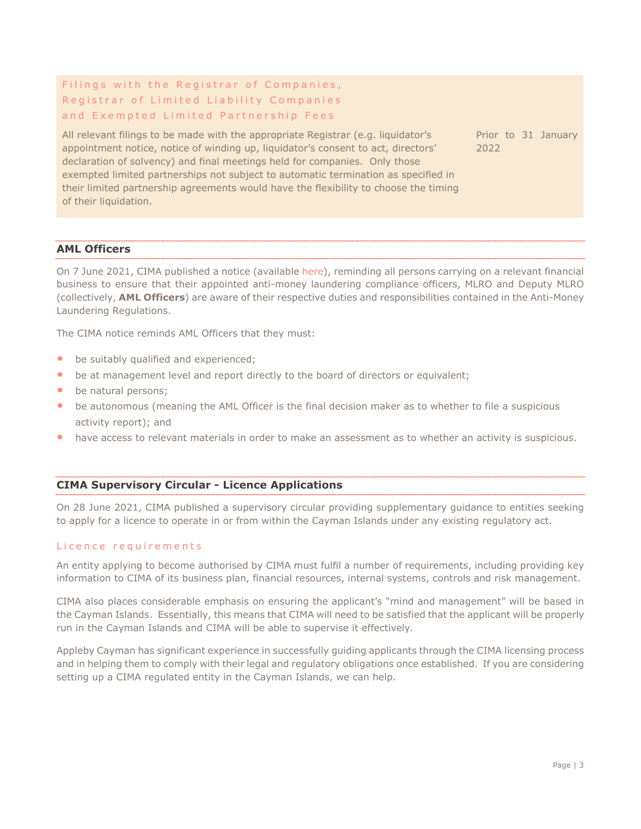### Filings with the Registrar of Companies, Registrar of Limited Liability Companies and Exempted Limited Partnership Fees

All relevant filings to be made with the appropriate Registrar (e.g. liquidator's appointment notice, notice of winding up, liquidator's consent to act, directors' declaration of solvency) and final meetings held for companies. Only those exempted limited partnerships not subject to automatic termination as specified in their limited partnership agreements would have the flexibility to choose the timing of their liquidation.

Prior to 31 January 2022

#### **AML Officers**

On 7 June 2021, CIMA published a notice (available [here\)](https://www.cima.ky/upimages/noticedoc/Notice-TheAppointment,DutiesandResponsibilitiesofAMLOfficers_1623074033.pdf), reminding all persons carrying on a relevant financial business to ensure that their appointed anti-money laundering compliance officers, MLRO and Deputy MLRO (collectively, **AML Officers**) are aware of their respective duties and responsibilities contained in the Anti-Money Laundering Regulations.

The CIMA notice reminds AML Officers that they must:

- be suitably qualified and experienced;
- be at management level and report directly to the board of directors or equivalent;
- be natural persons;
- be autonomous (meaning the AML Officer is the final decision maker as to whether to file a suspicious activity report); and
- have access to relevant materials in order to make an assessment as to whether an activity is suspicious.

#### **CIMA Supervisory Circular - Licence Applications**

On 28 June 2021, CIMA published a supervisory circular providing supplementary guidance to entities seeking to apply for a licence to operate in or from within the Cayman Islands under any existing regulatory act.

#### Licence requirements

An entity applying to become authorised by CIMA must fulfil a number of requirements, including providing key information to CIMA of its business plan, financial resources, internal systems, controls and risk management.

CIMA also places considerable emphasis on ensuring the applicant's "mind and management" will be based in the Cayman Islands. Essentially, this means that CIMA will need to be satisfied that the applicant will be properly run in the Cayman Islands and CIMA will be able to supervise it effectively.

Appleby Cayman has significant experience in successfully guiding applicants through the CIMA licensing process and in helping them to comply with their legal and regulatory obligations once established. If you are considering setting up a CIMA regulated entity in the Cayman Islands, we can help.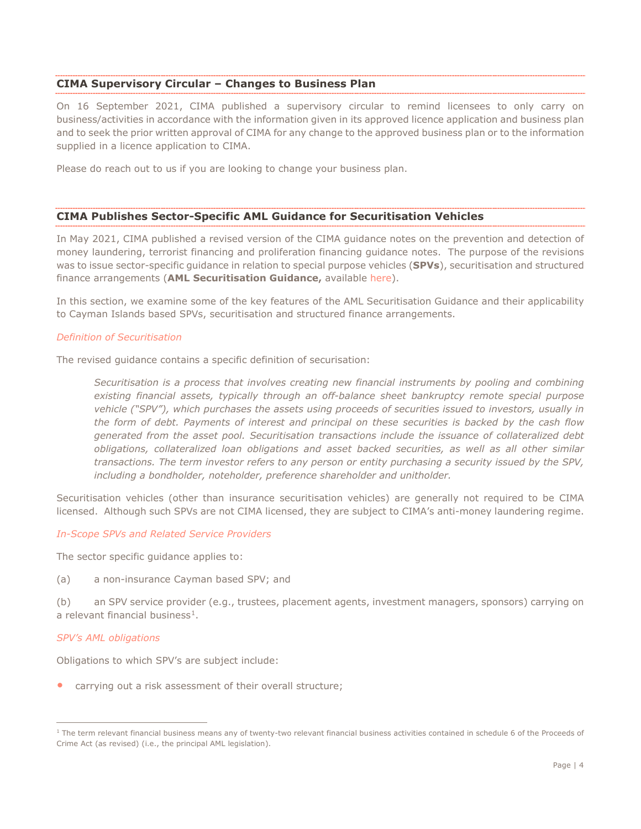#### **CIMA Supervisory Circular – Changes to Business Plan**

On 16 September 2021, CIMA published a supervisory circular to remind licensees to only carry on business/activities in accordance with the information given in its approved licence application and business plan and to seek the prior written approval of CIMA for any change to the approved business plan or to the information supplied in a licence application to CIMA.

Please do reach out to us if you are looking to change your business plan.

#### **CIMA Publishes Sector-Specific AML Guidance for Securitisation Vehicles**

In May 2021, CIMA published a revised version of the CIMA guidance notes on the prevention and detection of money laundering, terrorist financing and proliferation financing guidance notes. The purpose of the revisions was to issue sector-specific guidance in relation to special purpose vehicles (**SPVs**), securitisation and structured finance arrangements (**AML Securitisation Guidance,** available [here\)](https://www.cima.ky/upimages/commonfiles/GNsAmendmentsSecuritizationMay2021_1622557863.pdf).

In this section, we examine some of the key features of the AML Securitisation Guidance and their applicability to Cayman Islands based SPVs, securitisation and structured finance arrangements.

#### *Definition of Securitisation*

The revised guidance contains a specific definition of securisation:

*Securitisation is a process that involves creating new financial instruments by pooling and combining existing financial assets, typically through an off-balance sheet bankruptcy remote special purpose vehicle ("SPV"), which purchases the assets using proceeds of securities issued to investors, usually in the form of debt. Payments of interest and principal on these securities is backed by the cash flow generated from the asset pool. Securitisation transactions include the issuance of collateralized debt obligations, collateralized loan obligations and asset backed securities, as well as all other similar transactions. The term investor refers to any person or entity purchasing a security issued by the SPV, including a bondholder, noteholder, preference shareholder and unitholder.*

Securitisation vehicles (other than insurance securitisation vehicles) are generally not required to be CIMA licensed. Although such SPVs are not CIMA licensed, they are subject to CIMA's anti-money laundering regime.

#### *In-Scope SPVs and Related Service Providers*

The sector specific guidance applies to:

(a) a non-insurance Cayman based SPV; and

(b) an SPV service provider (e.g., trustees, placement agents, investment managers, sponsors) carrying on a relevant financial business $<sup>1</sup>$ .</sup>

#### *SPV's AML obligations*

Obligations to which SPV's are subject include:

• carrying out a risk assessment of their overall structure;

<span id="page-3-0"></span><sup>&</sup>lt;sup>1</sup> The term relevant financial business means any of twenty-two relevant financial business activities contained in schedule 6 of the Proceeds of Crime Act (as revised) (i.e., the principal AML legislation).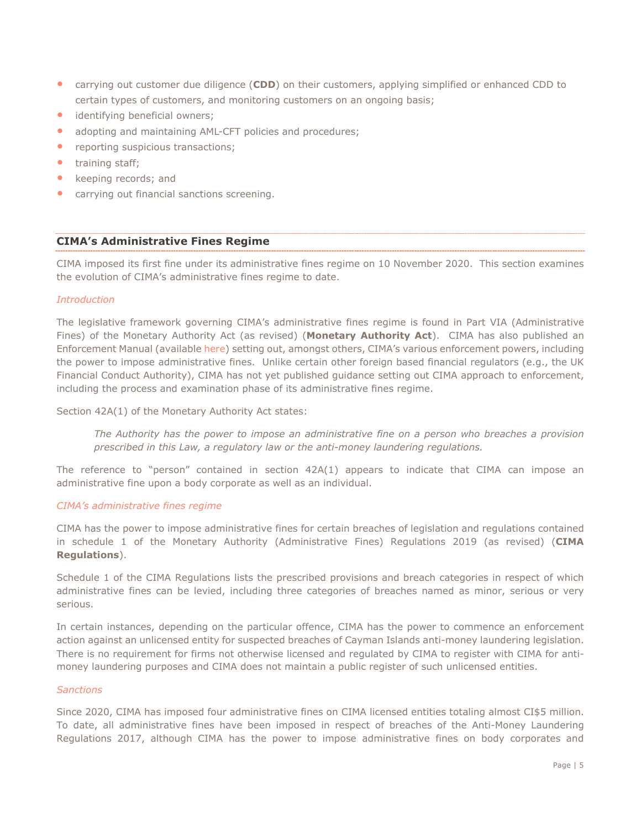- carrying out customer due diligence (**CDD**) on their customers, applying simplified or enhanced CDD to certain types of customers, and monitoring customers on an ongoing basis;
- identifying beneficial owners;
- adopting and maintaining AML-CFT policies and procedures;
- reporting suspicious transactions;
- training staff:
- keeping records; and
- carrying out financial sanctions screening.

#### **CIMA's Administrative Fines Regime**

CIMA imposed its first fine under its administrative fines regime on 10 November 2020. This section examines the evolution of CIMA's administrative fines regime to date.

#### *Introduction*

The legislative framework governing CIMA's administrative fines regime is found in Part VIA (Administrative Fines) of the Monetary Authority Act (as revised) (**Monetary Authority Act**). CIMA has also published an Enforcement Manual (available [here\)](https://www.cima.ky/upimages/commonfiles/1521058565RevisedEnforcementManual2018_1521058565.pdf) setting out, amongst others, CIMA's various enforcement powers, including the power to impose administrative fines. Unlike certain other foreign based financial regulators (e.g., the UK Financial Conduct Authority), CIMA has not yet published guidance setting out CIMA approach to enforcement, including the process and examination phase of its administrative fines regime.

Section 42A(1) of the Monetary Authority Act states:

*The Authority has the power to impose an administrative fine on a person who breaches a provision prescribed in this Law, a regulatory law or the anti-money laundering regulations.*

The reference to "person" contained in section 42A(1) appears to indicate that CIMA can impose an administrative fine upon a body corporate as well as an individual.

#### *CIMA's administrative fines regime*

CIMA has the power to impose administrative fines for certain breaches of legislation and regulations contained in schedule 1 of the Monetary Authority (Administrative Fines) Regulations 2019 (as revised) (**CIMA Regulations**).

Schedule 1 of the CIMA Regulations lists the prescribed provisions and breach categories in respect of which administrative fines can be levied, including three categories of breaches named as minor, serious or very serious.

In certain instances, depending on the particular offence, CIMA has the power to commence an enforcement action against an unlicensed entity for suspected breaches of Cayman Islands anti-money laundering legislation. There is no requirement for firms not otherwise licensed and regulated by CIMA to register with CIMA for antimoney laundering purposes and CIMA does not maintain a public register of such unlicensed entities.

#### *Sanctions*

Since 2020, CIMA has imposed four administrative fines on CIMA licensed entities totaling almost CI\$5 million. To date, all administrative fines have been imposed in respect of breaches of the Anti-Money Laundering Regulations 2017, although CIMA has the power to impose administrative fines on body corporates and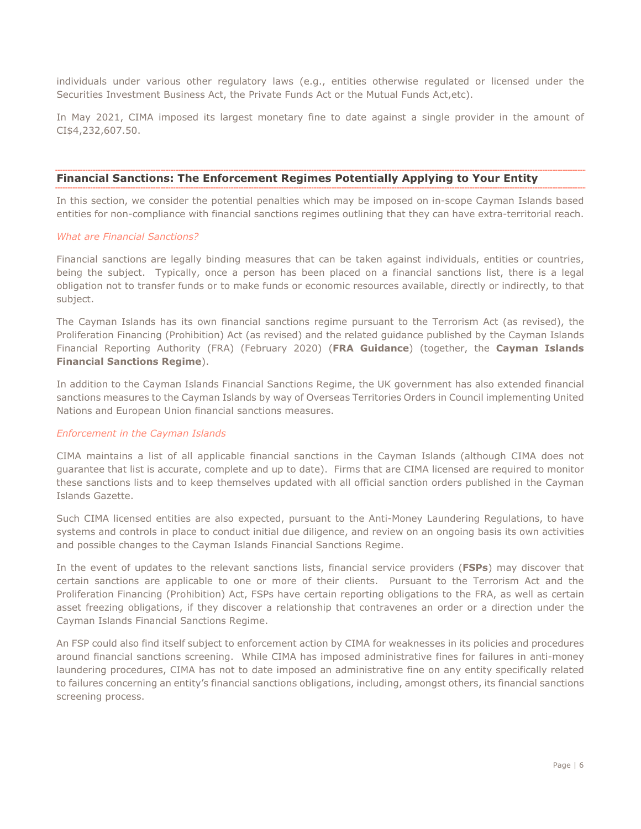individuals under various other regulatory laws (e.g., entities otherwise regulated or licensed under the Securities Investment Business Act, the Private Funds Act or the Mutual Funds Act,etc).

In May 2021, CIMA imposed its largest monetary fine to date against a single provider in the amount of CI\$4,232,607.50.

#### **Financial Sanctions: The Enforcement Regimes Potentially Applying to Your Entity**

In this section, we consider the potential penalties which may be imposed on in-scope Cayman Islands based entities for non-compliance with financial sanctions regimes outlining that they can have extra-territorial reach.

#### *What are Financial Sanctions?*

Financial sanctions are legally binding measures that can be taken against individuals, entities or countries, being the subject. Typically, once a person has been placed on a financial sanctions list, there is a legal obligation not to transfer funds or to make funds or economic resources available, directly or indirectly, to that subject.

The Cayman Islands has its own financial sanctions regime pursuant to the Terrorism Act (as revised), the Proliferation Financing (Prohibition) Act (as revised) and the related guidance published by the Cayman Islands Financial Reporting Authority (FRA) (February 2020) (**FRA Guidance**) (together, the **Cayman Islands Financial Sanctions Regime**).

In addition to the Cayman Islands Financial Sanctions Regime, the UK government has also extended financial sanctions measures to the Cayman Islands by way of Overseas Territories Orders in Council implementing United Nations and European Union financial sanctions measures.

#### *Enforcement in the Cayman Islands*

CIMA maintains a list of all applicable financial sanctions in the Cayman Islands (although CIMA does not guarantee that list is accurate, complete and up to date). Firms that are CIMA licensed are required to monitor these sanctions lists and to keep themselves updated with all official sanction orders published in the Cayman Islands Gazette.

Such CIMA licensed entities are also expected, pursuant to the Anti-Money Laundering Regulations, to have systems and controls in place to conduct initial due diligence, and review on an ongoing basis its own activities and possible changes to the Cayman Islands Financial Sanctions Regime.

In the event of updates to the relevant sanctions lists, financial service providers (**FSPs**) may discover that certain sanctions are applicable to one or more of their clients. Pursuant to the Terrorism Act and the Proliferation Financing (Prohibition) Act, FSPs have certain reporting obligations to the FRA, as well as certain asset freezing obligations, if they discover a relationship that contravenes an order or a direction under the Cayman Islands Financial Sanctions Regime.

An FSP could also find itself subject to enforcement action by CIMA for weaknesses in its policies and procedures around financial sanctions screening. While CIMA has imposed administrative fines for failures in anti-money laundering procedures, CIMA has not to date imposed an administrative fine on any entity specifically related to failures concerning an entity's financial sanctions obligations, including, amongst others, its financial sanctions screening process.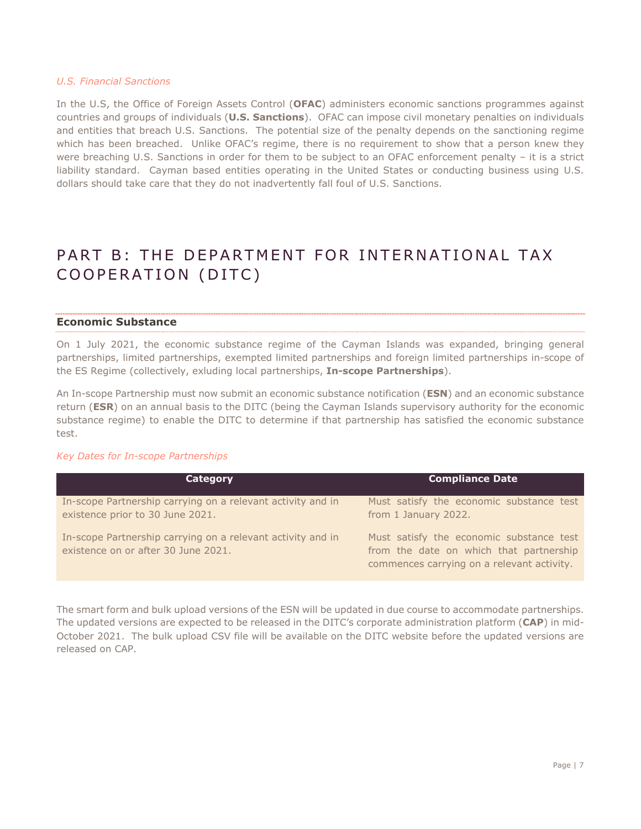#### *U.S. Financial Sanctions*

In the U.S, the Office of Foreign Assets Control (**OFAC**) administers economic sanctions programmes against countries and groups of individuals (**U.S. Sanctions**). OFAC can impose civil monetary penalties on individuals and entities that breach U.S. Sanctions. The potential size of the penalty depends on the sanctioning regime which has been breached. Unlike OFAC's regime, there is no requirement to show that a person knew they were breaching U.S. Sanctions in order for them to be subject to an OFAC enforcement penalty – it is a strict liability standard. Cayman based entities operating in the United States or conducting business using U.S. dollars should take care that they do not inadvertently fall foul of U.S. Sanctions.

# PART B: THE DEPARTMENT FOR INTERNATIONAL TAX COOPERATION (DITC)

#### **Economic Substance**

On 1 July 2021, the economic substance regime of the Cayman Islands was expanded, bringing general partnerships, limited partnerships, exempted limited partnerships and foreign limited partnerships in-scope of the ES Regime (collectively, exluding local partnerships, **In-scope Partnerships**).

An In-scope Partnership must now submit an economic substance notification (**ESN**) and an economic substance return (**ESR**) on an annual basis to the DITC (being the Cayman Islands supervisory authority for the economic substance regime) to enable the DITC to determine if that partnership has satisfied the economic substance test.

#### *Key Dates for In-scope Partnerships*

| <b>Category</b>                                                                                    | <b>Compliance Date</b>                                                                                                            |
|----------------------------------------------------------------------------------------------------|-----------------------------------------------------------------------------------------------------------------------------------|
| In-scope Partnership carrying on a relevant activity and in<br>existence prior to 30 June 2021.    | Must satisfy the economic substance test<br>from 1 January 2022.                                                                  |
| In-scope Partnership carrying on a relevant activity and in<br>existence on or after 30 June 2021. | Must satisfy the economic substance test<br>from the date on which that partnership<br>commences carrying on a relevant activity. |

The smart form and bulk upload versions of the ESN will be updated in due course to accommodate partnerships. The updated versions are expected to be released in the DITC's corporate administration platform (**CAP**) in mid-October 2021. The bulk upload CSV file will be available on the DITC website before the updated versions are released on CAP.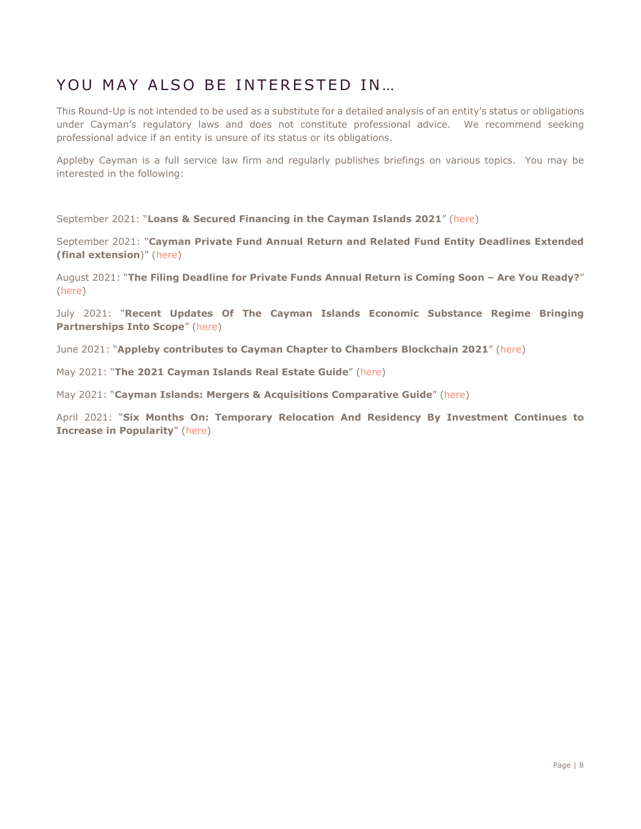### YOU MAY ALSO BE INTERESTED IN …

This Round-Up is not intended to be used as a substitute for a detailed analysis of an entity's status or obligations under Cayman's regulatory laws and does not constitute professional advice. We recommend seeking professional advice if an entity is unsure of its status or its obligations.

Appleby Cayman is a full service law firm and regularly publishes briefings on various topics. You may be interested in the following:

September 2021: "**Loans & Secured Financing in the Cayman Islands 2021**" [\(here\)](https://www.applebyglobal.com/publications/loans-secured-financing-in-the-cayman-islands-2021/)

September 2021: "**Cayman Private Fund Annual Return and Related Fund Entity Deadlines Extended (final extension**)" [\(here\)](https://www.applebyglobal.com/news/cayman-private-fund-annual-return-and-related-fund-entity-deadlines-extended-final-extension/)

August 2021: "**The Filing Deadline for Private Funds Annual Return is Coming Soon – Are You Ready?**" [\(here\)](https://www.applebyglobal.com/news/the-filing-deadline-for-private-funds-annual-return-is-coming-soon-are-you-ready/)

July 2021: "**Recent Updates Of The Cayman Islands Economic Substance Regime Bringing Partnerships Into Scope**" [\(here\)](https://www.applebyglobal.com/news/cayman-islands-economic-substance-regime-recent-updates-bringing-certain-partnerships-in-scope-of-the-regime/)

June 2021: "**Appleby contributes to Cayman Chapter to Chambers Blockchain 2021**" [\(here\)](https://www.applebyglobal.com/publications/appleby-authors-cayman-islands-chapter-of-chambers-blockchain-2021-global-practice-guide/)

May 2021: "**The 2021 Cayman Islands Real Estate Guide**" [\(here\)](https://www.applebyglobal.com/publications/the-2021-cayman-islands-real-estate-guide/)

May 2021: "**Cayman Islands: Mergers & Acquisitions Comparative Guide**" [\(here\)](https://www.applebyglobal.com/publications/cayman-islands-mergers-acquisitions-comparative-guide/)

April 2021: "**Six Months On: Temporary Relocation And Residency By Investment Continues to Increase in Popularity**" [\(here\)](https://www.applebyglobal.com/publications/6-months-on-temporary-relocation-and-residency-by-investment-continues-to-increase-in-popularity/)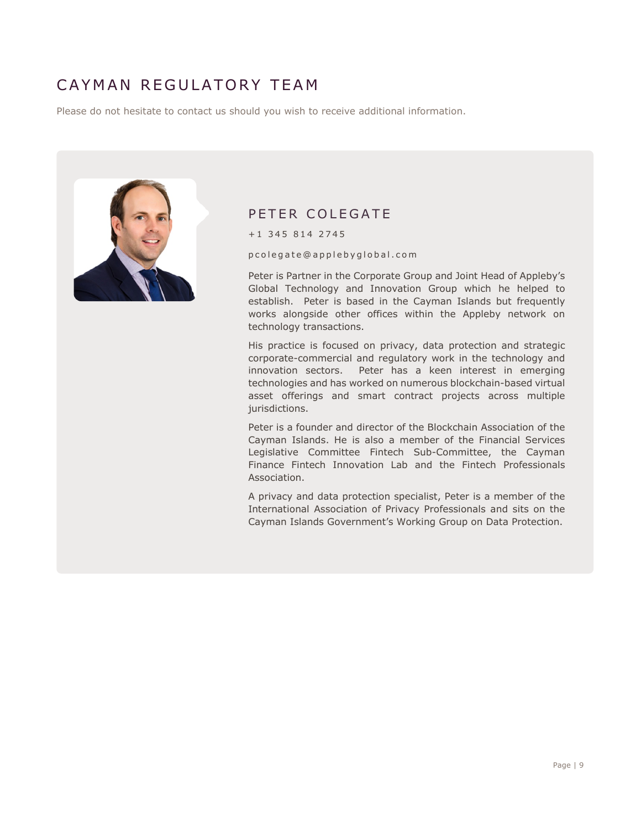# CAYMAN REGULATORY TEAM

Please do not hesitate to contact us should you wish to receive additional information.



### PETER COLEGATE

+1 345 814 2745

pcolegate @applebyglobal.com

Peter is Partner in the Corporate Group and Joint Head of Appleby's Global Technology and Innovation Group which he helped to establish. Peter is based in the Cayman Islands but frequently works alongside other offices within the Appleby network on technology transactions.

His practice is focused on privacy, data protection and strategic corporate-commercial and regulatory work in the technology and innovation sectors. Peter has a keen interest in emerging technologies and has worked on numerous blockchain-based virtual asset offerings and smart contract projects across multiple jurisdictions.

Peter is a founder and director of the Blockchain Association of the Cayman Islands. He is also a member of the Financial Services Legislative Committee Fintech Sub-Committee, the Cayman Finance Fintech Innovation Lab and the Fintech Professionals Association.

A privacy and data protection specialist, Peter is a member of the International Association of Privacy Professionals and sits on the Cayman Islands Government's Working Group on Data Protection.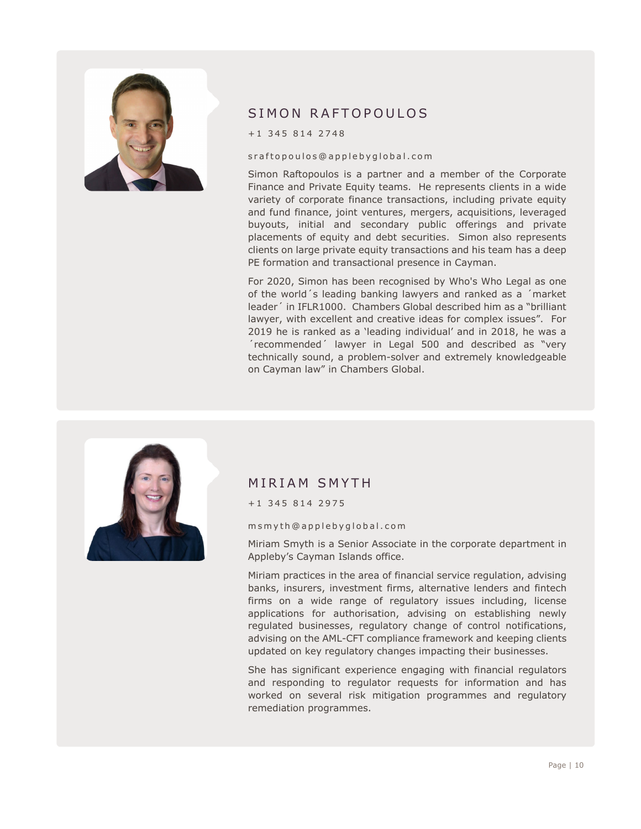

### SIMON RAFTOPOULOS

+1 345 814 2748

#### sraftopoulos @applebyglobal.com

Simon Raftopoulos is a partner and a member of the Corporate Finance and Private Equity teams. He represents clients in a wide variety of corporate finance transactions, including private equity and fund finance, joint ventures, mergers, acquisitions, leveraged buyouts, initial and secondary public offerings and private placements of equity and debt securities. Simon also represents clients on large private equity transactions and his team has a deep PE formation and transactional presence in Cayman.

For 2020, Simon has been recognised by Who's Who Legal as one of the world´s leading banking lawyers and ranked as a ´market leader´ in IFLR1000. Chambers Global described him as a "brilliant lawyer, with excellent and creative ideas for complex issues". For 2019 he is ranked as a 'leading individual' and in 2018, he was a ´recommended´ lawyer in Legal 500 and described as "very technically sound, a problem-solver and extremely knowledgeable on Cayman law" in Chambers Global.



### MIRIAM SMYTH

+1 345 814 2975

msmyth @applebyglobal.com

Miriam Smyth is a Senior Associate in the corporate department in Appleby's Cayman Islands office.

Miriam practices in the area of financial service regulation, advising banks, insurers, investment firms, alternative lenders and fintech firms on a wide range of regulatory issues including, license applications for authorisation, advising on establishing newly regulated businesses, regulatory change of control notifications, advising on the AML-CFT compliance framework and keeping clients updated on key regulatory changes impacting their businesses.

She has significant experience engaging with financial regulators and responding to regulator requests for information and has worked on several risk mitigation programmes and regulatory remediation programmes.